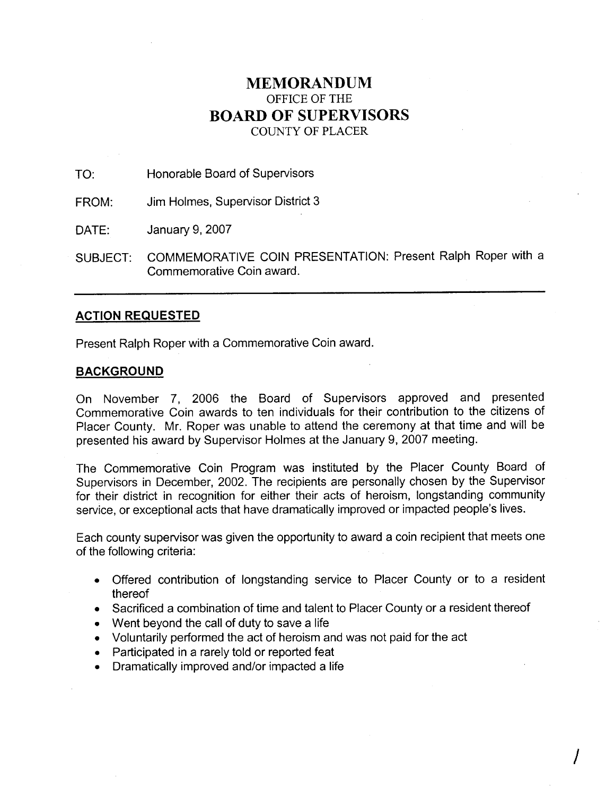## **MEMORANDUM**  OFFICE OF THE **BOARD OF SUPERVISORS**  COUNTY OF PLACER

TO: Honorable Board of Supervisors

FROM: Jim Holmes, Supervisor District 3

DATE: January 9, 2007

SUBJECT: COMMEMORATIVE COIN PRESENTATION: Present Ralph Roper with a Commemorative Coin award.

## **ACTION REQUESTED**

Present Ralph Roper with a Commemorative Coin award.

## **BACKGROUND**

On November 7, 2006 the Board of Supervisors approved and presented Commemorative Coin awards to ten individuals for their contribution to the citizens of Placer County. Mr. Roper was unable to attend the ceremony at that time and will be presented his award by Supervisor Holmes at the January 9, 2007 meeting.

The Commemorative Coin Program was instituted by the Placer County Board of Supervisors in December, 2002. The recipients are personally chosen by the Supervisor for their district in recognition for either their acts of heroism, longstanding community service, or exceptional acts that have dramatically improved or impacted people's lives.

Each county supervisor was given the opportunity to award a coin recipient that meets one of the following criteria:

- Offered contribution of longstanding service to Placer County or to a resident  $\bullet$ thereof
- Sacrificed a combination of time and talent to Placer County or a resident thereof  $\bullet$
- Went beyond the call of duty to save a life
- Voluntarily performed the act of heroism and was not paid for the act
- Participated in a rarely told or reported feat
- Dramatically improved and/or impacted a life